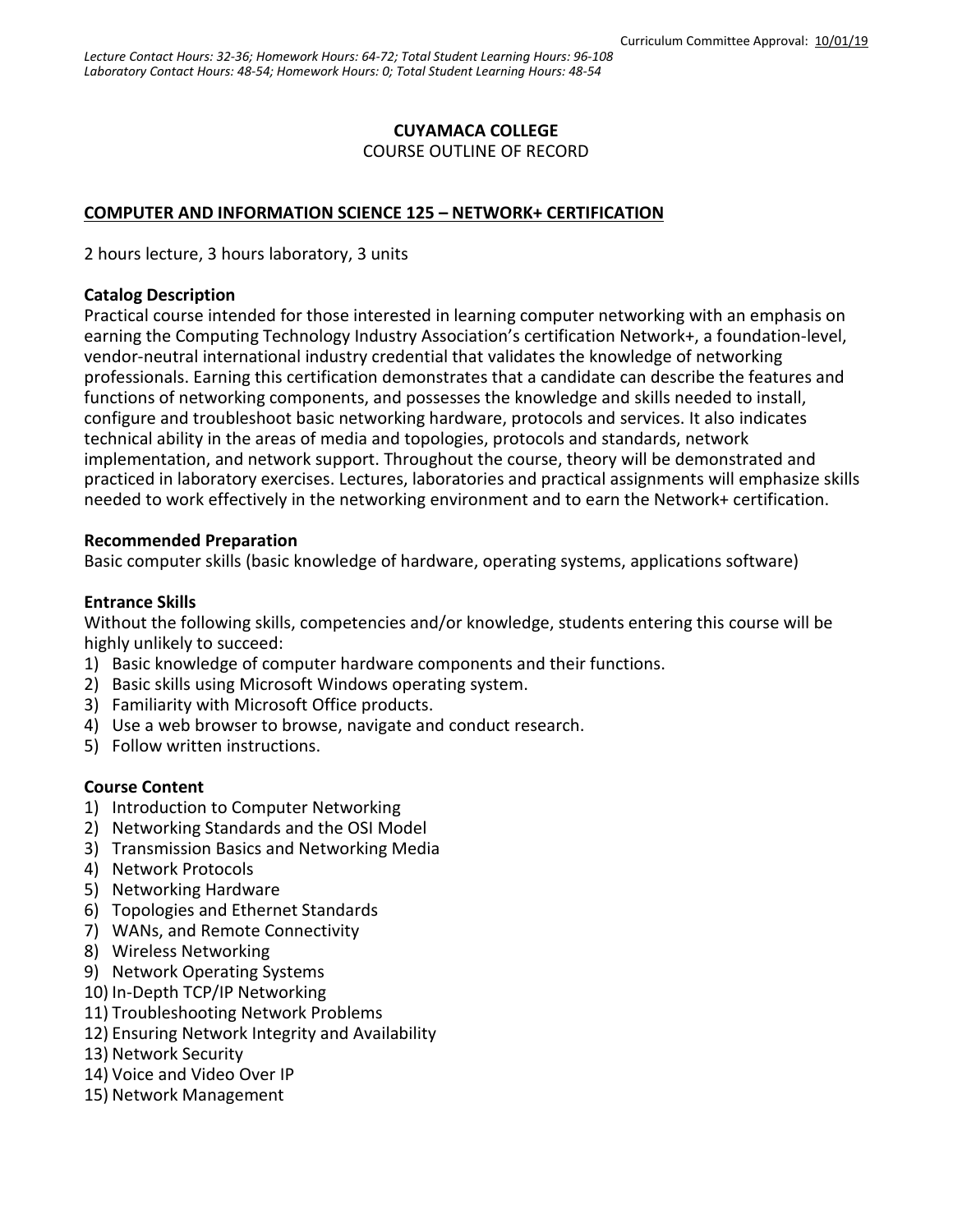#### **CUYAMACA COLLEGE**

COURSE OUTLINE OF RECORD

#### **COMPUTER AND INFORMATION SCIENCE 125 – NETWORK+ CERTIFICATION**

2 hours lecture, 3 hours laboratory, 3 units

#### **Catalog Description**

Practical course intended for those interested in learning computer networking with an emphasis on earning the Computing Technology Industry Association's certification Network+, a foundation-level, vendor-neutral international industry credential that validates the knowledge of networking professionals. Earning this certification demonstrates that a candidate can describe the features and functions of networking components, and possesses the knowledge and skills needed to install, configure and troubleshoot basic networking hardware, protocols and services. It also indicates technical ability in the areas of media and topologies, protocols and standards, network implementation, and network support. Throughout the course, theory will be demonstrated and practiced in laboratory exercises. Lectures, laboratories and practical assignments will emphasize skills needed to work effectively in the networking environment and to earn the Network+ certification.

#### **Recommended Preparation**

Basic computer skills (basic knowledge of hardware, operating systems, applications software)

#### **Entrance Skills**

Without the following skills, competencies and/or knowledge, students entering this course will be highly unlikely to succeed:

- 1) Basic knowledge of computer hardware components and their functions.
- 2) Basic skills using Microsoft Windows operating system.
- 3) Familiarity with Microsoft Office products.
- 4) Use a web browser to browse, navigate and conduct research.
- 5) Follow written instructions.

#### **Course Content**

- 1) Introduction to Computer Networking
- 2) Networking Standards and the OSI Model
- 3) Transmission Basics and Networking Media
- 4) Network Protocols
- 5) Networking Hardware
- 6) Topologies and Ethernet Standards
- 7) WANs, and Remote Connectivity
- 8) Wireless Networking
- 9) Network Operating Systems
- 10) In-Depth TCP/IP Networking
- 11) Troubleshooting Network Problems
- 12) Ensuring Network Integrity and Availability
- 13) Network Security
- 14) Voice and Video Over IP
- 15) Network Management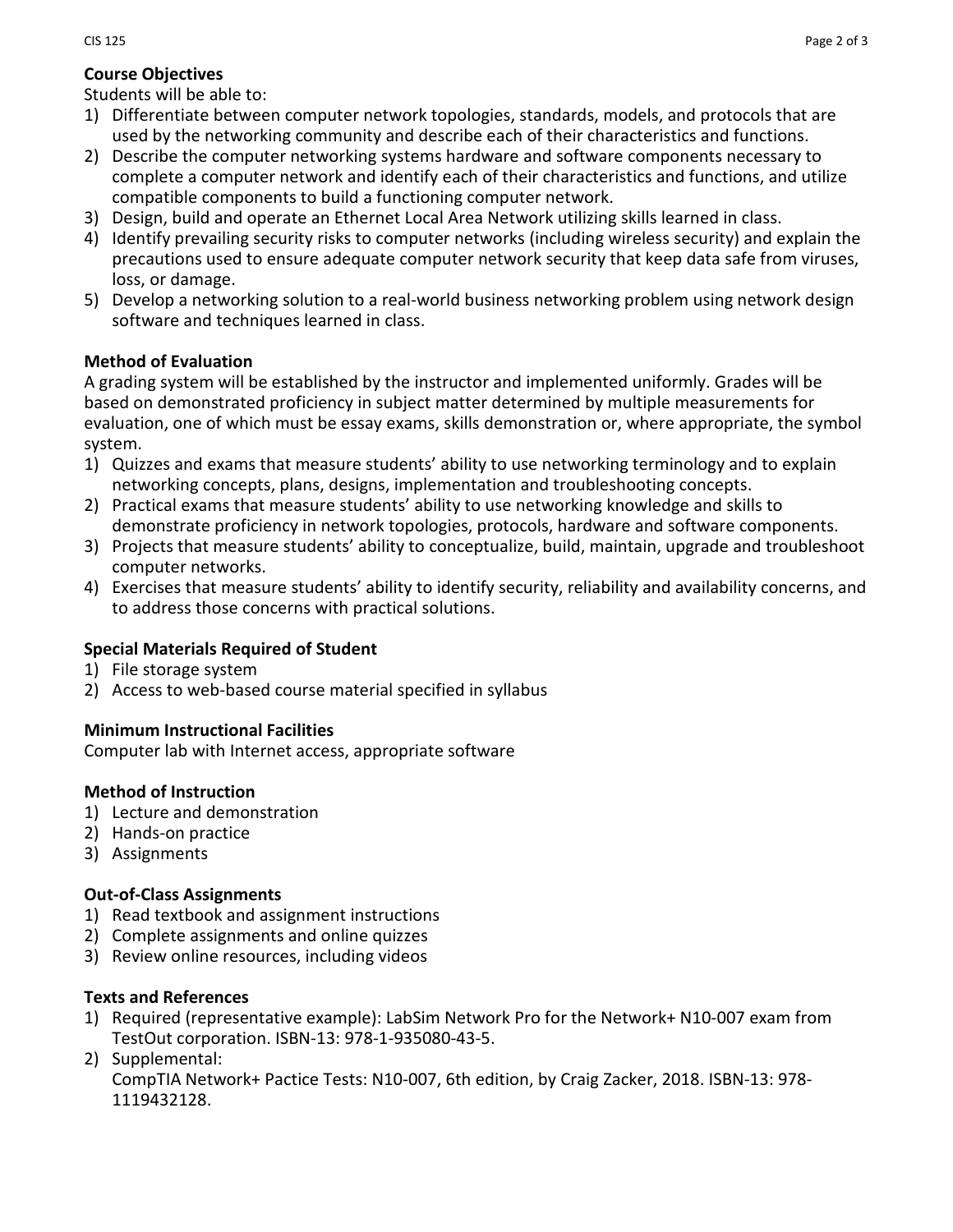# **Course Objectives**

Students will be able to:

- 1) Differentiate between computer network topologies, standards, models, and protocols that are used by the networking community and describe each of their characteristics and functions.
- 2) Describe the computer networking systems hardware and software components necessary to complete a computer network and identify each of their characteristics and functions, and utilize compatible components to build a functioning computer network.
- 3) Design, build and operate an Ethernet Local Area Network utilizing skills learned in class.
- 4) Identify prevailing security risks to computer networks (including wireless security) and explain the precautions used to ensure adequate computer network security that keep data safe from viruses, loss, or damage.
- 5) Develop a networking solution to a real-world business networking problem using network design software and techniques learned in class.

## **Method of Evaluation**

A grading system will be established by the instructor and implemented uniformly. Grades will be based on demonstrated proficiency in subject matter determined by multiple measurements for evaluation, one of which must be essay exams, skills demonstration or, where appropriate, the symbol system.

- 1) Quizzes and exams that measure students' ability to use networking terminology and to explain networking concepts, plans, designs, implementation and troubleshooting concepts.
- 2) Practical exams that measure students' ability to use networking knowledge and skills to demonstrate proficiency in network topologies, protocols, hardware and software components.
- 3) Projects that measure students' ability to conceptualize, build, maintain, upgrade and troubleshoot computer networks.
- 4) Exercises that measure students' ability to identify security, reliability and availability concerns, and to address those concerns with practical solutions.

## **Special Materials Required of Student**

- 1) File storage system
- 2) Access to web-based course material specified in syllabus

## **Minimum Instructional Facilities**

Computer lab with Internet access, appropriate software

## **Method of Instruction**

- 1) Lecture and demonstration
- 2) Hands-on practice
- 3) Assignments

## **Out-of-Class Assignments**

- 1) Read textbook and assignment instructions
- 2) Complete assignments and online quizzes
- 3) Review online resources, including videos

#### **Texts and References**

- 1) Required (representative example): LabSim Network Pro for the Network+ N10-007 exam from TestOut corporation. ISBN-13: 978-1-935080-43-5.
- 2) Supplemental: CompTIA Network+ Pactice Tests: N10-007, 6th edition, by Craig Zacker, 2018. ISBN-13: 978- 1119432128.